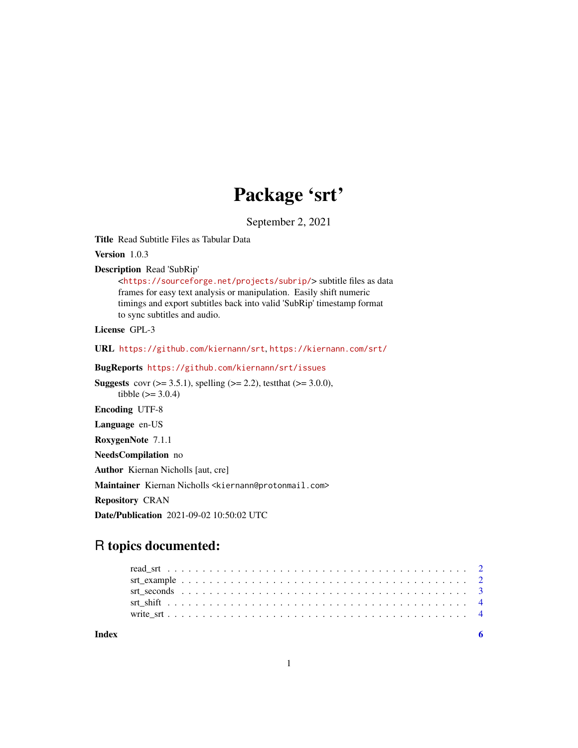## Package 'srt'

September 2, 2021

Title Read Subtitle Files as Tabular Data

Version 1.0.3

Description Read 'SubRip'

<<https://sourceforge.net/projects/subrip/>> subtitle files as data frames for easy text analysis or manipulation. Easily shift numeric timings and export subtitles back into valid 'SubRip' timestamp format to sync subtitles and audio.

License GPL-3

URL <https://github.com/kiernann/srt>, <https://kiernann.com/srt/>

BugReports <https://github.com/kiernann/srt/issues>

**Suggests** covr ( $>= 3.5.1$ ), spelling ( $>= 2.2$ ), test that ( $>= 3.0.0$ ), tibble  $(>= 3.0.4)$ 

Encoding UTF-8

Language en-US

RoxygenNote 7.1.1

NeedsCompilation no

Author Kiernan Nicholls [aut, cre]

Maintainer Kiernan Nicholls <kiernann@protonmail.com>

Repository CRAN

Date/Publication 2021-09-02 10:50:02 UTC

### R topics documented:

| Index |  |  |  |  |  |  |  |  |  |  |  |  |  |  |  |  |  |  |  |  |
|-------|--|--|--|--|--|--|--|--|--|--|--|--|--|--|--|--|--|--|--|--|
|       |  |  |  |  |  |  |  |  |  |  |  |  |  |  |  |  |  |  |  |  |
|       |  |  |  |  |  |  |  |  |  |  |  |  |  |  |  |  |  |  |  |  |
|       |  |  |  |  |  |  |  |  |  |  |  |  |  |  |  |  |  |  |  |  |
|       |  |  |  |  |  |  |  |  |  |  |  |  |  |  |  |  |  |  |  |  |
|       |  |  |  |  |  |  |  |  |  |  |  |  |  |  |  |  |  |  |  |  |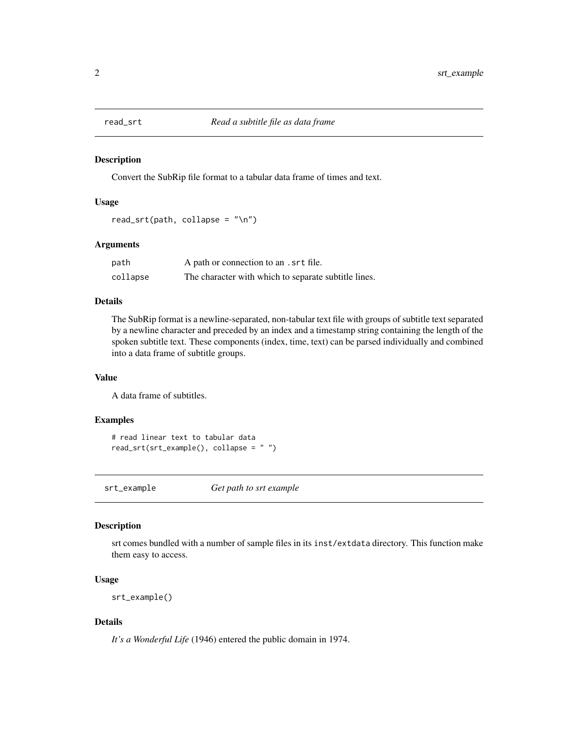<span id="page-1-1"></span><span id="page-1-0"></span>

#### Description

Convert the SubRip file format to a tabular data frame of times and text.

#### Usage

```
read_srt(path, collapse = "\n")
```
#### Arguments

| path     | A path or connection to an . srt file.               |
|----------|------------------------------------------------------|
| collapse | The character with which to separate subtitle lines. |

#### Details

The SubRip format is a newline-separated, non-tabular text file with groups of subtitle text separated by a newline character and preceded by an index and a timestamp string containing the length of the spoken subtitle text. These components (index, time, text) can be parsed individually and combined into a data frame of subtitle groups.

#### Value

A data frame of subtitles.

#### Examples

```
# read linear text to tabular data
read_srt(srt_example(), collapse = " ")
```
srt\_example *Get path to srt example*

#### Description

srt comes bundled with a number of sample files in its inst/extdata directory. This function make them easy to access.

#### Usage

```
srt_example()
```
#### Details

*It's a Wonderful Life* (1946) entered the public domain in 1974.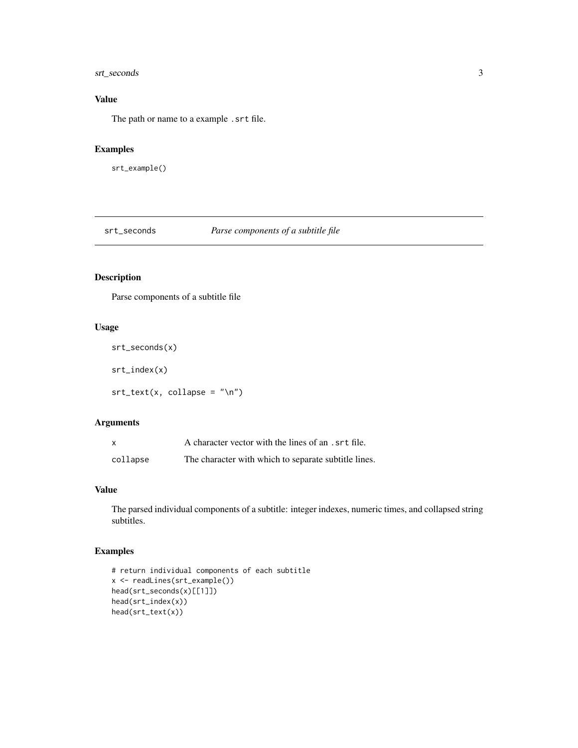#### <span id="page-2-0"></span>srt\_seconds 3

#### Value

The path or name to a example .srt file.

#### Examples

srt\_example()

srt\_seconds *Parse components of a subtitle file*

#### Description

Parse components of a subtitle file

#### Usage

```
srt_seconds(x)
srt_index(x)
```
 $srt\_text(x, collapse = "\\n")$ 

#### Arguments

| x        | A character vector with the lines of an . srt file.  |
|----------|------------------------------------------------------|
| collapse | The character with which to separate subtitle lines. |

#### Value

The parsed individual components of a subtitle: integer indexes, numeric times, and collapsed string subtitles.

#### Examples

```
# return individual components of each subtitle
x <- readLines(srt_example())
head(srt_seconds(x)[[1]])
head(srt_index(x))
head(srt_text(x))
```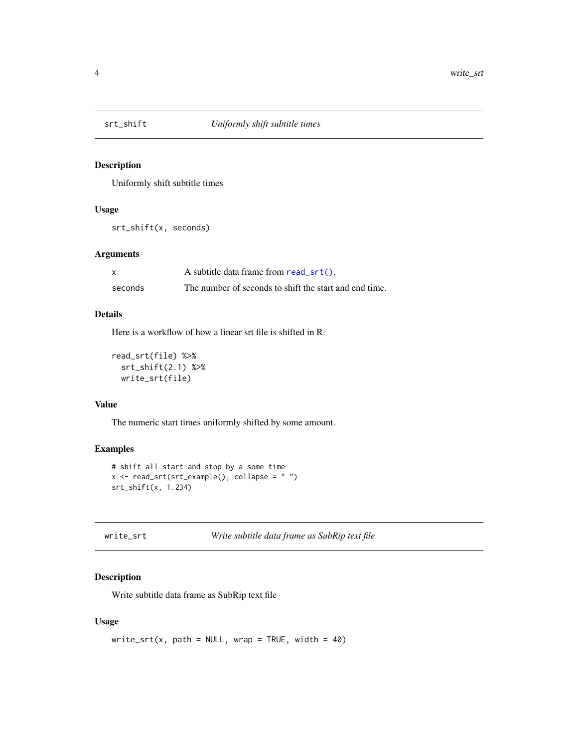<span id="page-3-0"></span>

#### Description

Uniformly shift subtitle times

#### Usage

srt\_shift(x, seconds)

#### Arguments

| $\mathsf{x}$ | A subtitle data frame from read_srt().                 |
|--------------|--------------------------------------------------------|
| seconds      | The number of seconds to shift the start and end time. |

#### Details

Here is a workflow of how a linear srt file is shifted in R.

read\_srt(file) %>% srt\_shift(2.1) %>% write\_srt(file)

#### Value

The numeric start times uniformly shifted by some amount.

#### Examples

```
# shift all start and stop by a some time
x <- read_srt(srt_example(), collapse = " ")
srt_shift(x, 1.234)
```

|  |  | write |  | - sr |  | τ |
|--|--|-------|--|------|--|---|
|--|--|-------|--|------|--|---|

write\_srt *Write subtitle data frame as SubRip text file*

#### Description

Write subtitle data frame as SubRip text file

#### Usage

```
write\_srt(x, path = NULL, wrap = TRUE, width = 40)
```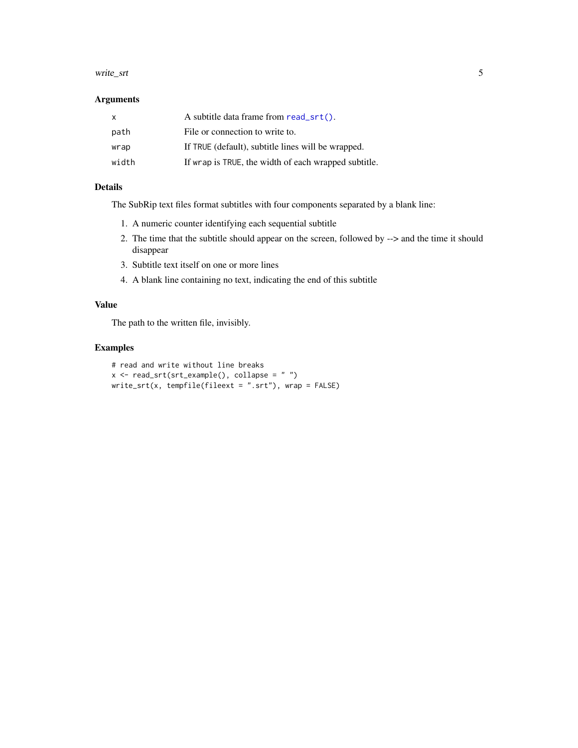#### <span id="page-4-0"></span>write\_srt 5

#### Arguments

| x     | A subtitle data frame from read_srt().               |
|-------|------------------------------------------------------|
| path  | File or connection to write to.                      |
| wrap  | If TRUE (default), subtitle lines will be wrapped.   |
| width | If wrap is TRUE, the width of each wrapped subtitle. |

#### Details

The SubRip text files format subtitles with four components separated by a blank line:

- 1. A numeric counter identifying each sequential subtitle
- 2. The time that the subtitle should appear on the screen, followed by --> and the time it should disappear
- 3. Subtitle text itself on one or more lines
- 4. A blank line containing no text, indicating the end of this subtitle

#### Value

The path to the written file, invisibly.

#### Examples

```
# read and write without line breaks
x \leftarrow \text{read\_srt}(\text{str\_example}(), \text{ collapse} = "")write_srt(x, tempfile(fileext = ".srt"), wrap = FALSE)
```